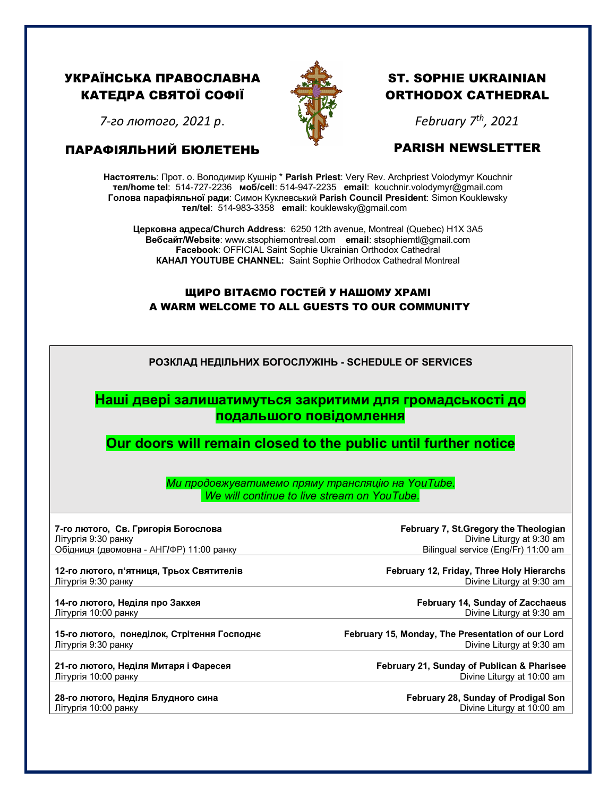## УКРАЇНСЬКА ПРАВОСЛАВНА КАТЕДРА СВЯТОЇ СОФІЇ



# ST. SOPHIE UKRAINIAN ORTHODOX CATHEDRAL

*7-го лютого, 2021 р*.

#### ПАРАФІЯЛЬНИЙ БЮЛЕТЕНЬ

# *February 7th, 2021*

### PARISH NEWSLETTER

**Настоятель**: Прот. о. Володимир Кушнір \* **Parish Priest**: Very Rev. Archpriest Volodymyr Kouchnir **тел/home tel**: 514-727-2236 **моб/cell**: 514-947-2235 **email**: kouchnir.volodymyr@gmail.com **Голова парафіяльної ради**: Симон Куклевський **Parish Council President**: Simon Kouklewsky  **тел/tel**: 514-983-3358 **email**: kouklewsky@gmail.com

**Церковна адреса/Church Address**: 6250 12th avenue, Montreal (Quebec) H1X 3A5 **Вебсайт/Website**: www.stsophiemontreal.com **email**: stsophiemtl@gmail.com **Facebook**: OFFICIAL Saint Sophie Ukrainian Orthodox Cathedral **КАНАЛ YOUTUBE CHANNEL:** Saint Sophie Orthodox Cathedral Montreal

#### ЩИРО ВІТАЄМО ГОСТЕЙ У НАШОМУ ХРАМІ A WARM WELCOME TO ALL GUESTS TO OUR COMMUNITY

| РОЗКЛАД НЕДІЛЬНИХ БОГОСЛУЖІНЬ - SCHEDULE OF SERVICES<br>Наші двері залишатимуться закритими для громадськості до<br>подальшого повідомлення<br>Our doors will remain closed to the public until further notice<br>Ми продовжуватимемо пряму трансляцію на YouTube.<br>We will continue to live stream on YouTube.<br>7-го лютого, Св. Григорія Богослова<br>February 7, St. Gregory the Theologian<br>Divine Liturgy at 9:30 am<br>Літургія 9:30 ранку<br>Обідниця (двомовна - АНГ/ФР) 11:00 ранку<br>Bilingual service (Eng/Fr) 11:00 am<br>12-го лютого, п'ятниця, Трьох Святителів<br>February 12, Friday, Three Holy Hierarchs<br>Divine Liturgy at 9:30 am<br>Літургія 9:30 ранку<br>14-го лютого, Неділя про Закхея<br>February 14, Sunday of Zacchaeus<br>Літургія 10:00 ранку<br>Divine Liturgy at 9:30 am<br>February 15, Monday, The Presentation of our Lord<br>15-го лютого, понеділок, Стрітення Господнє<br>Divine Liturgy at 9:30 am<br>Літургія 9:30 ранку<br>21-го лютого, Неділя Митаря і Фаресея<br>February 21, Sunday of Publican & Pharisee<br>Літургія 10:00 ранку<br>Divine Liturgy at 10:00 am<br>28-го лютого, Неділя Блудного сина<br>February 28, Sunday of Prodigal Son<br>Divine Liturgy at 10:00 am<br>Літургія 10:00 ранку |  |  |  |
|------------------------------------------------------------------------------------------------------------------------------------------------------------------------------------------------------------------------------------------------------------------------------------------------------------------------------------------------------------------------------------------------------------------------------------------------------------------------------------------------------------------------------------------------------------------------------------------------------------------------------------------------------------------------------------------------------------------------------------------------------------------------------------------------------------------------------------------------------------------------------------------------------------------------------------------------------------------------------------------------------------------------------------------------------------------------------------------------------------------------------------------------------------------------------------------------------------------------------------------------------------|--|--|--|
|                                                                                                                                                                                                                                                                                                                                                                                                                                                                                                                                                                                                                                                                                                                                                                                                                                                                                                                                                                                                                                                                                                                                                                                                                                                            |  |  |  |
|                                                                                                                                                                                                                                                                                                                                                                                                                                                                                                                                                                                                                                                                                                                                                                                                                                                                                                                                                                                                                                                                                                                                                                                                                                                            |  |  |  |
|                                                                                                                                                                                                                                                                                                                                                                                                                                                                                                                                                                                                                                                                                                                                                                                                                                                                                                                                                                                                                                                                                                                                                                                                                                                            |  |  |  |
|                                                                                                                                                                                                                                                                                                                                                                                                                                                                                                                                                                                                                                                                                                                                                                                                                                                                                                                                                                                                                                                                                                                                                                                                                                                            |  |  |  |
|                                                                                                                                                                                                                                                                                                                                                                                                                                                                                                                                                                                                                                                                                                                                                                                                                                                                                                                                                                                                                                                                                                                                                                                                                                                            |  |  |  |
|                                                                                                                                                                                                                                                                                                                                                                                                                                                                                                                                                                                                                                                                                                                                                                                                                                                                                                                                                                                                                                                                                                                                                                                                                                                            |  |  |  |
|                                                                                                                                                                                                                                                                                                                                                                                                                                                                                                                                                                                                                                                                                                                                                                                                                                                                                                                                                                                                                                                                                                                                                                                                                                                            |  |  |  |
|                                                                                                                                                                                                                                                                                                                                                                                                                                                                                                                                                                                                                                                                                                                                                                                                                                                                                                                                                                                                                                                                                                                                                                                                                                                            |  |  |  |
|                                                                                                                                                                                                                                                                                                                                                                                                                                                                                                                                                                                                                                                                                                                                                                                                                                                                                                                                                                                                                                                                                                                                                                                                                                                            |  |  |  |
|                                                                                                                                                                                                                                                                                                                                                                                                                                                                                                                                                                                                                                                                                                                                                                                                                                                                                                                                                                                                                                                                                                                                                                                                                                                            |  |  |  |
|                                                                                                                                                                                                                                                                                                                                                                                                                                                                                                                                                                                                                                                                                                                                                                                                                                                                                                                                                                                                                                                                                                                                                                                                                                                            |  |  |  |
|                                                                                                                                                                                                                                                                                                                                                                                                                                                                                                                                                                                                                                                                                                                                                                                                                                                                                                                                                                                                                                                                                                                                                                                                                                                            |  |  |  |
|                                                                                                                                                                                                                                                                                                                                                                                                                                                                                                                                                                                                                                                                                                                                                                                                                                                                                                                                                                                                                                                                                                                                                                                                                                                            |  |  |  |
|                                                                                                                                                                                                                                                                                                                                                                                                                                                                                                                                                                                                                                                                                                                                                                                                                                                                                                                                                                                                                                                                                                                                                                                                                                                            |  |  |  |
|                                                                                                                                                                                                                                                                                                                                                                                                                                                                                                                                                                                                                                                                                                                                                                                                                                                                                                                                                                                                                                                                                                                                                                                                                                                            |  |  |  |
|                                                                                                                                                                                                                                                                                                                                                                                                                                                                                                                                                                                                                                                                                                                                                                                                                                                                                                                                                                                                                                                                                                                                                                                                                                                            |  |  |  |
|                                                                                                                                                                                                                                                                                                                                                                                                                                                                                                                                                                                                                                                                                                                                                                                                                                                                                                                                                                                                                                                                                                                                                                                                                                                            |  |  |  |
|                                                                                                                                                                                                                                                                                                                                                                                                                                                                                                                                                                                                                                                                                                                                                                                                                                                                                                                                                                                                                                                                                                                                                                                                                                                            |  |  |  |
|                                                                                                                                                                                                                                                                                                                                                                                                                                                                                                                                                                                                                                                                                                                                                                                                                                                                                                                                                                                                                                                                                                                                                                                                                                                            |  |  |  |
|                                                                                                                                                                                                                                                                                                                                                                                                                                                                                                                                                                                                                                                                                                                                                                                                                                                                                                                                                                                                                                                                                                                                                                                                                                                            |  |  |  |
|                                                                                                                                                                                                                                                                                                                                                                                                                                                                                                                                                                                                                                                                                                                                                                                                                                                                                                                                                                                                                                                                                                                                                                                                                                                            |  |  |  |
|                                                                                                                                                                                                                                                                                                                                                                                                                                                                                                                                                                                                                                                                                                                                                                                                                                                                                                                                                                                                                                                                                                                                                                                                                                                            |  |  |  |
|                                                                                                                                                                                                                                                                                                                                                                                                                                                                                                                                                                                                                                                                                                                                                                                                                                                                                                                                                                                                                                                                                                                                                                                                                                                            |  |  |  |
|                                                                                                                                                                                                                                                                                                                                                                                                                                                                                                                                                                                                                                                                                                                                                                                                                                                                                                                                                                                                                                                                                                                                                                                                                                                            |  |  |  |
|                                                                                                                                                                                                                                                                                                                                                                                                                                                                                                                                                                                                                                                                                                                                                                                                                                                                                                                                                                                                                                                                                                                                                                                                                                                            |  |  |  |
|                                                                                                                                                                                                                                                                                                                                                                                                                                                                                                                                                                                                                                                                                                                                                                                                                                                                                                                                                                                                                                                                                                                                                                                                                                                            |  |  |  |
|                                                                                                                                                                                                                                                                                                                                                                                                                                                                                                                                                                                                                                                                                                                                                                                                                                                                                                                                                                                                                                                                                                                                                                                                                                                            |  |  |  |
|                                                                                                                                                                                                                                                                                                                                                                                                                                                                                                                                                                                                                                                                                                                                                                                                                                                                                                                                                                                                                                                                                                                                                                                                                                                            |  |  |  |
|                                                                                                                                                                                                                                                                                                                                                                                                                                                                                                                                                                                                                                                                                                                                                                                                                                                                                                                                                                                                                                                                                                                                                                                                                                                            |  |  |  |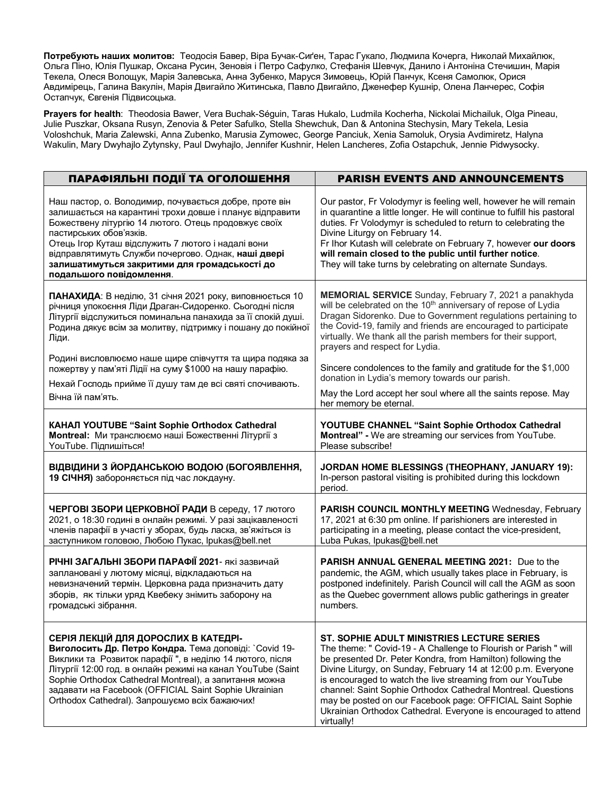**Потребують наших молитов:** Теодосія Бавер, Віра Бучак-Сиґен, Тарас Гукало, Людмила Кочерга, Николай Михайлюк, Ольгa Піно, Юлія Пушкар, Оксанa Русин, Зеновія і Петро Сафулко, Стефанія Шевчук, Данило і Антоніна Стечишин, Марія Текела, Олеся Волощук, Марія Залевська, Анна Зубенко, Маруся Зимовець, Юрій Панчук, Ксеня Самолюк, Орися Авдимірець, Галина Вакулін, Марія Двигайло Житинська, Павло Двигайло, Дженефер Кушнір, Олена Ланчерес, Софія Остапчук, Євгенія Підвисоцька.

**Prayers for health**: Theodosia Bawer, Vera Buchak-Séguin, Taras Hukalo, Ludmila Kocherha, Nickolai Michailuk, Olga Pineau, Julie Puszkar, Oksana Rusyn, Zenovia & Peter Safulko, Stella Shewchuk, Dan & Antonina Stechysin, Mary Tekela, Lesia Voloshchuk, Maria Zalewski, Anna Zubenko, Marusia Zymowec, George Panciuk, Xenia Samoluk, Orysia Avdimiretz, Halyna Wakulin, Mary Dwyhajlo Zytynsky, Paul Dwyhajlo, Jennifer Kushnir, Helen Lancheres, Zofia Ostapchuk, Jennie Pidwysocky.

| ПАРАФІЯЛЬНІ ПОДІЇ ТА ОГОЛОШЕННЯ                                                                                                                                                                                                                                                                                                                                                                 | <b>PARISH EVENTS AND ANNOUNCEMENTS</b>                                                                                                                                                                                                                                                                                                                                                                                                                                                                                    |
|-------------------------------------------------------------------------------------------------------------------------------------------------------------------------------------------------------------------------------------------------------------------------------------------------------------------------------------------------------------------------------------------------|---------------------------------------------------------------------------------------------------------------------------------------------------------------------------------------------------------------------------------------------------------------------------------------------------------------------------------------------------------------------------------------------------------------------------------------------------------------------------------------------------------------------------|
| Наш пастор, о. Володимир, почувається добре, проте він<br>залишається на карантині трохи довше і планує відправити<br>Божествену літургію 14 лютого. Отець продовжує своїх<br>пастирських обов'язків.<br>Отець Ігор Куташ відслужить 7 лютого і надалі вони<br>відправлятимуть Служби почергово. Однак, наші двері<br>залишатимуться закритими для громадськості до<br>подальшого повідомлення. | Our pastor, Fr Volodymyr is feeling well, however he will remain<br>in quarantine a little longer. He will continue to fulfill his pastoral<br>duties. Fr Volodymyr is scheduled to return to celebrating the<br>Divine Liturgy on February 14.<br>Fr Ihor Kutash will celebrate on February 7, however our doors<br>will remain closed to the public until further notice.<br>They will take turns by celebrating on alternate Sundays.                                                                                  |
| ПАНАХИДА: В неділю, 31 січня 2021 року, виповнюється 10<br>річниця упокоєння Ліди Драган-Сидоренко. Сьогодні після<br>Літургії відслужиться поминальна панахида за її спокій душі.<br>Родина дякує всім за молитву, підтримку і пошану до покійної<br>Ліди.                                                                                                                                     | <b>MEMORIAL SERVICE</b> Sunday, February 7, 2021 a panakhyda<br>will be celebrated on the 10 <sup>th</sup> anniversary of repose of Lydia<br>Dragan Sidorenko. Due to Government regulations pertaining to<br>the Covid-19, family and friends are encouraged to participate<br>virtually. We thank all the parish members for their support,<br>prayers and respect for Lydia.                                                                                                                                           |
| Родині висловлюємо наше щире співчуття та щира подяка за                                                                                                                                                                                                                                                                                                                                        | Sincere condolences to the family and gratitude for the \$1,000                                                                                                                                                                                                                                                                                                                                                                                                                                                           |
| пожертву у пам'яті Лідії на суму \$1000 на нашу парафію.                                                                                                                                                                                                                                                                                                                                        | donation in Lydia's memory towards our parish.                                                                                                                                                                                                                                                                                                                                                                                                                                                                            |
| Нехай Господь прийме її душу там де всі святі спочивають.                                                                                                                                                                                                                                                                                                                                       | May the Lord accept her soul where all the saints repose. May                                                                                                                                                                                                                                                                                                                                                                                                                                                             |
| Вічна їй пам'ять.                                                                                                                                                                                                                                                                                                                                                                               | her memory be eternal.                                                                                                                                                                                                                                                                                                                                                                                                                                                                                                    |
| КАНАЛ YOUTUBE "Saint Sophie Orthodox Cathedral                                                                                                                                                                                                                                                                                                                                                  | YOUTUBE CHANNEL "Saint Sophie Orthodox Cathedral                                                                                                                                                                                                                                                                                                                                                                                                                                                                          |
| <b>Montreal:</b> Ми транслюємо наші Божественні Літургії з                                                                                                                                                                                                                                                                                                                                      | Montreal" - We are streaming our services from YouTube.                                                                                                                                                                                                                                                                                                                                                                                                                                                                   |
| YouTube. Підпишіться!                                                                                                                                                                                                                                                                                                                                                                           | Please subscribe!                                                                                                                                                                                                                                                                                                                                                                                                                                                                                                         |
| ВІДВІДИНИ З ЙОРДАНСЬКОЮ ВОДОЮ (БОГОЯВЛЕННЯ,<br>19 СІЧНЯ) забороняється під час локдауну.                                                                                                                                                                                                                                                                                                        | JORDAN HOME BLESSINGS (THEOPHANY, JANUARY 19):<br>In-person pastoral visiting is prohibited during this lockdown<br>period.                                                                                                                                                                                                                                                                                                                                                                                               |
| ЧЕРГОВІ ЗБОРИ ЦЕРКОВНОЇ РАДИ В середу, 17 лютого                                                                                                                                                                                                                                                                                                                                                | <b>PARISH COUNCIL MONTHLY MEETING Wednesday, February</b>                                                                                                                                                                                                                                                                                                                                                                                                                                                                 |
| 2021, о 18:30 годині в онлайн режимі. У разі зацікавленості                                                                                                                                                                                                                                                                                                                                     | 17, 2021 at 6:30 pm online. If parishioners are interested in                                                                                                                                                                                                                                                                                                                                                                                                                                                             |
| членів парафії в участі у зборах, будь ласка, зв'яжіться із                                                                                                                                                                                                                                                                                                                                     | participating in a meeting, please contact the vice-president,                                                                                                                                                                                                                                                                                                                                                                                                                                                            |
| заступником головою, Любою Пукас, Ipukas@bell.net                                                                                                                                                                                                                                                                                                                                               | Luba Pukas, Ipukas@bell.net                                                                                                                                                                                                                                                                                                                                                                                                                                                                                               |
| РІЧНІ ЗАГАЛЬНІ ЗБОРИ ПАРАФІЇ 2021- які зазвичай                                                                                                                                                                                                                                                                                                                                                 | <b>PARISH ANNUAL GENERAL MEETING 2021: Due to the</b>                                                                                                                                                                                                                                                                                                                                                                                                                                                                     |
| заплановані у лютому місяці, відкладаються на                                                                                                                                                                                                                                                                                                                                                   | pandemic, the AGM, which usually takes place in February, is                                                                                                                                                                                                                                                                                                                                                                                                                                                              |
| невизначений термін. Церковна рада призначить дату                                                                                                                                                                                                                                                                                                                                              | postponed indefinitely. Parish Council will call the AGM as soon                                                                                                                                                                                                                                                                                                                                                                                                                                                          |
| зборів, як тільки уряд Квебеку знімить заборону на                                                                                                                                                                                                                                                                                                                                              | as the Quebec government allows public gatherings in greater                                                                                                                                                                                                                                                                                                                                                                                                                                                              |
| громадські зібрання.                                                                                                                                                                                                                                                                                                                                                                            | numbers.                                                                                                                                                                                                                                                                                                                                                                                                                                                                                                                  |
| СЕРІЯ ЛЕКЦІЙ ДЛЯ ДОРОСЛИХ В КАТЕДРІ-<br>Виголосить Др. Петро Кондра. Тема доповіді: `Covid 19-<br>Виклики та Розвиток парафії", в неділю 14 лютого, після<br>Літургії 12:00 год. в онлайн режимі на канал YouTube (Saint<br>Sophie Orthodox Cathedral Montreal), а запитання можна<br>задавати на Facebook (OFFICIAL Saint Sophie Ukrainian<br>Orthodox Cathedral). Запрошуємо всіх бажаючих!   | ST. SOPHIE ADULT MINISTRIES LECTURE SERIES<br>The theme: " Covid-19 - A Challenge to Flourish or Parish " will<br>be presented Dr. Peter Kondra, from Hamilton) following the<br>Divine Liturgy, on Sunday, February 14 at 12:00 p.m. Everyone<br>is encouraged to watch the live streaming from our YouTube<br>channel: Saint Sophie Orthodox Cathedral Montreal. Questions<br>may be posted on our Facebook page: OFFICIAL Saint Sophie<br>Ukrainian Orthodox Cathedral. Everyone is encouraged to attend<br>virtually! |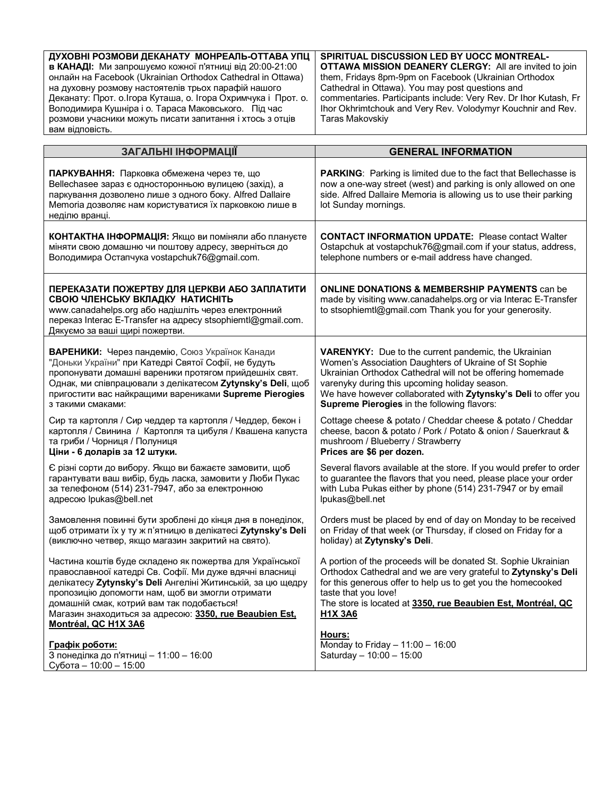| ДУХОВНІ РОЗМОВИ ДЕКАНАТУ МОНРЕАЛЬ-ОТТАВА УПЦ                  | <b>SPIRITUAL DISCUSSION LED BY UOCC MONTREAL-</b>                |
|---------------------------------------------------------------|------------------------------------------------------------------|
| в КАНАДІ: Ми запрошуємо кожної п'ятниці від 20:00-21:00       | <b>OTTAWA MISSION DEANERY CLERGY:</b> All are invited to join    |
| онлайн на Facebook (Ukrainian Orthodox Cathedral in Ottawa)   | them, Fridays 8pm-9pm on Facebook (Ukrainian Orthodox            |
| на духовну розмову настоятелів трьох парафій нашого           | Cathedral in Ottawa). You may post questions and                 |
| Деканату: Прот. о.Ігора Куташа, о. Ігора Охримчука і Прот. о. | commentaries. Participants include: Very Rev. Dr Ihor Kutash, Fr |
| Володимира Кушніра і о. Тараса Маковського. Під час           | Ihor Okhrimtchouk and Very Rev. Volodymyr Kouchnir and Rev.      |
| розмови учасники можуть писати запитання і хтось з отців      | Taras Makovskiy                                                  |
| вам відповість.                                               |                                                                  |

| ЗАГАЛЬНІ ІНФОРМАЦІЇ                                                                                                                                                                                                                                                                                                                                                      | <b>GENERAL INFORMATION</b>                                                                                                                                                                                                                                                                                 |
|--------------------------------------------------------------------------------------------------------------------------------------------------------------------------------------------------------------------------------------------------------------------------------------------------------------------------------------------------------------------------|------------------------------------------------------------------------------------------------------------------------------------------------------------------------------------------------------------------------------------------------------------------------------------------------------------|
| ПАРКУВАННЯ: Парковка обмежена через те, що<br>Bellechasee зараз є односторонньою вулицею (захід), а<br>паркування дозволено лише з одного боку. Alfred Dallaire<br>Memoria дозволяє нам користуватися їх парковкою лише в<br>неділю вранці.                                                                                                                              | <b>PARKING:</b> Parking is limited due to the fact that Bellechasse is<br>now a one-way street (west) and parking is only allowed on one<br>side. Alfred Dallaire Memoria is allowing us to use their parking<br>lot Sunday mornings.                                                                      |
| КОНТАКТНА ІНФОРМАЦІЯ: Якщо ви поміняли або плануєте                                                                                                                                                                                                                                                                                                                      | <b>CONTACT INFORMATION UPDATE: Please contact Walter</b>                                                                                                                                                                                                                                                   |
| міняти свою домашню чи поштову адресу, зверніться до                                                                                                                                                                                                                                                                                                                     | Ostapchuk at vostapchuk76@gmail.com if your status, address,                                                                                                                                                                                                                                               |
| Володимира Остапчука vostapchuk76@gmail.com.                                                                                                                                                                                                                                                                                                                             | telephone numbers or e-mail address have changed.                                                                                                                                                                                                                                                          |
| ПЕРЕКАЗАТИ ПОЖЕРТВУ ДЛЯ ЦЕРКВИ АБО ЗАПЛАТИТИ<br>СВОЮ ЧЛЕНСЬКУ ВКЛАДКУ НАТИСНІТЬ<br>www.canadahelps.org або надішліть через електронний<br>переказ Interac E-Transfer на адресу stsophiemtl@gmail.com.<br>Дякуємо за ваші щирі пожертви.                                                                                                                                  | <b>ONLINE DONATIONS &amp; MEMBERSHIP PAYMENTS can be</b><br>made by visiting www.canadahelps.org or via Interac E-Transfer<br>to stsophiemtl@gmail.com Thank you for your generosity.                                                                                                                      |
| ВАРЕНИКИ: Через пандемію, Союз Українок Канади                                                                                                                                                                                                                                                                                                                           | <b>VARENYKY:</b> Due to the current pandemic, the Ukrainian                                                                                                                                                                                                                                                |
| "Доньки України" при Катедрі Святої Софії, не будуть                                                                                                                                                                                                                                                                                                                     | Women's Association Daughters of Ukraine of St Sophie                                                                                                                                                                                                                                                      |
| пропонувати домашні вареники протягом прийдешніх свят.                                                                                                                                                                                                                                                                                                                   | Ukrainian Orthodox Cathedral will not be offering homemade                                                                                                                                                                                                                                                 |
| Однак, ми співпрацювали з делікатесом Zytynsky's Deli, щоб                                                                                                                                                                                                                                                                                                               | varenyky during this upcoming holiday season.                                                                                                                                                                                                                                                              |
| пригостити вас найкращими варениками Supreme Pierogies                                                                                                                                                                                                                                                                                                                   | We have however collaborated with Zytynsky's Deli to offer you                                                                                                                                                                                                                                             |
| з такими смаками:                                                                                                                                                                                                                                                                                                                                                        | Supreme Pierogies in the following flavors:                                                                                                                                                                                                                                                                |
| Сир та картопля / Сир чеддер та картопля / Чеддер, бекон і                                                                                                                                                                                                                                                                                                               | Cottage cheese & potato / Cheddar cheese & potato / Cheddar                                                                                                                                                                                                                                                |
| картопля / Свинина / Картопля та цибуля / Квашена капуста                                                                                                                                                                                                                                                                                                                | cheese, bacon & potato / Pork / Potato & onion / Sauerkraut &                                                                                                                                                                                                                                              |
| та гриби / Чорниця / Полуниця                                                                                                                                                                                                                                                                                                                                            | mushroom / Blueberry / Strawberry                                                                                                                                                                                                                                                                          |
| Ціни - 6 доларів за 12 штуки.                                                                                                                                                                                                                                                                                                                                            | Prices are \$6 per dozen.                                                                                                                                                                                                                                                                                  |
| Є різні сорти до вибору. Якщо ви бажаєте замовити, щоб                                                                                                                                                                                                                                                                                                                   | Several flavors available at the store. If you would prefer to order                                                                                                                                                                                                                                       |
| гарантувати ваш вибір, будь ласка, замовити у Люби Пукас                                                                                                                                                                                                                                                                                                                 | to guarantee the flavors that you need, please place your order                                                                                                                                                                                                                                            |
| за телефоном (514) 231-7947, або за електронною                                                                                                                                                                                                                                                                                                                          | with Luba Pukas either by phone (514) 231-7947 or by email                                                                                                                                                                                                                                                 |
| aдресою Ipukas@bell.net                                                                                                                                                                                                                                                                                                                                                  | lpukas@bell.net                                                                                                                                                                                                                                                                                            |
| Замовлення повинні бути зроблені до кінця дня в понеділок,                                                                                                                                                                                                                                                                                                               | Orders must be placed by end of day on Monday to be received                                                                                                                                                                                                                                               |
| щоб отримати їх у ту ж п'ятницю в делікатесі Zytynsky's Deli                                                                                                                                                                                                                                                                                                             | on Friday of that week (or Thursday, if closed on Friday for a                                                                                                                                                                                                                                             |
| (виключно четвер, якщо магазин закритий на свято).                                                                                                                                                                                                                                                                                                                       | holiday) at Zytynsky's Deli.                                                                                                                                                                                                                                                                               |
| Частина коштів буде складено як пожертва для Української<br>православноої катедрі Св. Софії. Ми дуже вдячні власниці<br>делікатесу Zytynsky's Deli Ангеліні Житинській, за цю щедру<br>пропозицію допомогти нам, щоб ви змогли отримати<br>домашній смак, котрий вам так подобається!<br>Магазин знаходиться за адресою: 3350, rue Beaubien Est,<br>Montréal, QC H1X 3A6 | A portion of the proceeds will be donated St. Sophie Ukrainian<br>Orthodox Cathedral and we are very grateful to Zytynsky's Deli<br>for this generous offer to help us to get you the homecooked<br>taste that you love!<br>The store is located at 3350, rue Beaubien Est, Montréal, QC<br><b>H1X 3A6</b> |
| Графік роботи:                                                                                                                                                                                                                                                                                                                                                           | Hours:                                                                                                                                                                                                                                                                                                     |
| З понеділка до п'ятниці - 11:00 - 16:00                                                                                                                                                                                                                                                                                                                                  | Monday to Friday $-11:00 - 16:00$                                                                                                                                                                                                                                                                          |
| Субота - $10:00 - 15:00$                                                                                                                                                                                                                                                                                                                                                 | Saturday - 10:00 - 15:00                                                                                                                                                                                                                                                                                   |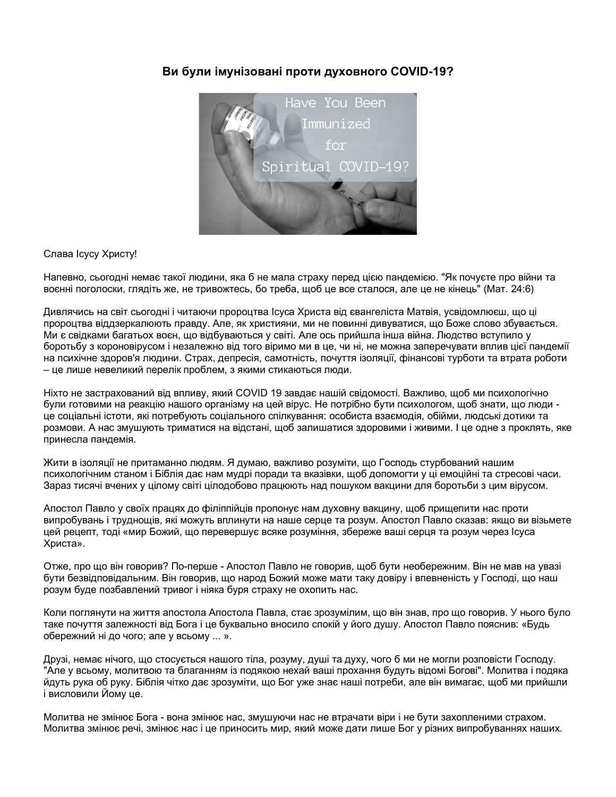#### **Ви були імунізовані проти духовного COVID-19?**



#### Слава Ісусу Христу!

Напевно, сьогодні немає такої людини, яка б не мала страху перед цією пандемією. "Як почуєте про війни та воєнні поголоски, глядіть же, не тривожтесь, бо треба, щоб це все сталося, але це не кінець" (Мат. 24:6)

Дивлячись на світ сьогодні і читаючи пророцтва Ісуса Христа від євангеліста Матвія, усвідомлюєш, що ці пророцтва віддзеркалюють правду. Але, як християни, ми не повинні дивуватися, що Боже слово збувається. Ми є свідками багатьох воєн, що відбуваються у світі. Але ось прийшла інша війна. Людство вступило у боротьбу з короновірусом і незалежно від того віримо ми в це, чи ні, не можна заперечувати вплив цієї пандемії на психічне здоров'я людини. Страх, депресія, самотність, почуття ізоляції, фінансові турботи та втрата роботи – це лише невеликий перелік проблем, з якими стикаються люди.

Ніхто не застрахований від впливу, який COVID 19 завдає нашій свідомості. Важливо, щоб ми психологічно були готовими на реакцію нашого організму на цей вірус. Не потрібно бути психологом, щоб знати, що люди це соціальні істоти, які потребують соціального спілкування: особиста взаємодія, обійми, людські дотики та розмови. А нас змушують триматися на відстані, щоб залишатися здоровими і живими. І це одне з проклять, яке принесла пандемія.

Жити в ізоляції не притаманно людям. Я думаю, важливо розуміти, що Господь стурбований нашим психологічним станом і Біблія дає нам мудрі поради та вказівки, щоб допомогти у ці емоційні та стресові часи. Зараз тисячі вчених у цілому світі цілодобово працюють над пошуком вакцини для боротьби з цим вірусом.

Апостол Павло у своїх працях до філіппійців пропонує нам духовну вакцину, щоб прищепити нас проти випробувань і труднощів, які можуть вплинути на наше серце та розум. Апостол Павло сказав: якщо ви візьмете цей рецепт, тоді «мир Божий, що перевершує всяке розуміння, збереже ваші серця та розум через Ісуса Христа».

Отже, про що він говорив? По-перше - Апостол Павло не говорив, щоб бути необережним. Він не мав на увазі бути безвідповідальним. Він говорив, що народ Божий може мати таку довіру і впевненість у Господі, що наш розум буде позбавлений тривог і ніяка буря страху не охопить нас.

Коли поглянути на життя апостола Апостола Павла, стає зрозумілим, що він знав, про що говорив. У нього було таке почуття залежності від Бога і це буквально вносило спокій у його душу. Апостол Павло пояснив: «Будь обережний ні до чого; але у всьому ... ».

Друзі, немає нічого, що стосується нашого тіла, розуму, душі та духу, чого б ми не могли розповісти Господу. "Але у всьому, молитвою та благанням із подякою нехай ваші прохання будуть відомі Богові". Молитва і подяка йдуть рука об руку. Біблія чітко дає зрозуміти, що Бог уже знає наші потреби, але він вимагає, щоб ми прийшли і висловили Йому це.

Молитва не змінює Бога - вона змінює нас, змушуючи нас не втрачати віри і не бути захопленими страхом. Молитва змінює речі, змінює нас і це приносить мир, який може дати лише Бог у різних випробуваннях наших.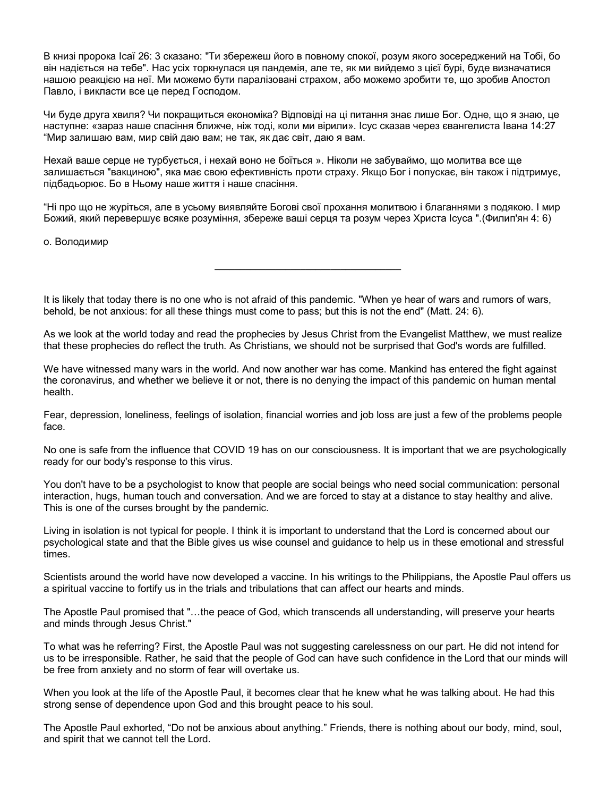В книзі пророка Ісаї 26: 3 сказано: "Ти збережеш його в повному спокої, розум якого зосереджений на Тобі, бо він надіється на тебе". Нас усіх торкнулася ця пандемія, але те, як ми вийдемо з цієї бурі, буде визначатися нашою реакцією на неї. Ми можемо бути паралізовані страхом, або можемо зробити те, що зробив Апостол Павло, і викласти все це перед Господом.

Чи буде друга хвиля? Чи покращиться економіка? Відповіді на ці питання знає лише Бог. Одне, що я знаю, це наступне: «зараз наше спасіння ближче, ніж тоді, коли ми вірили». Ісус сказав через євангелиста Івана 14:27 "Мир залишаю вам, мир свій даю вам; не так, як дає світ, даю я вам.

Нехай ваше серце не турбується, і нехай воно не боїться ». Ніколи не забуваймо, що молитва все ще залишається "вакциною", яка має свою ефективність проти страху. Якщо Бог і попускає, він також і підтримує, підбадьорює. Бо в Ньому наше життя і наше спасіння.

"Ні про що не журіться, але в усьому виявляйте Богові свої прохання молитвою і благаннями з подякою. І мир Божий, який перевершує всяке розуміння, збереже ваші серця та розум через Христа Ісуса ".(Филип'ян 4: 6)

**\_\_\_\_\_\_\_\_\_\_\_\_\_\_\_\_\_\_\_\_\_\_\_\_\_\_\_\_\_\_\_\_\_\_\_\_\_**

о. Володимир

It is likely that today there is no one who is not afraid of this pandemic. "When ye hear of wars and rumors of wars, behold, be not anxious: for all these things must come to pass; but this is not the end" (Matt. 24: 6).

As we look at the world today and read the prophecies by Jesus Christ from the Evangelist Matthew, we must realize that these prophecies do reflect the truth. As Christians, we should not be surprised that God's words are fulfilled.

We have witnessed many wars in the world. And now another war has come. Mankind has entered the fight against the coronavirus, and whether we believe it or not, there is no denying the impact of this pandemic on human mental health.

Fear, depression, loneliness, feelings of isolation, financial worries and job loss are just a few of the problems people face.

No one is safe from the influence that COVID 19 has on our consciousness. It is important that we are psychologically ready for our body's response to this virus.

You don't have to be a psychologist to know that people are social beings who need social communication: personal interaction, hugs, human touch and conversation. And we are forced to stay at a distance to stay healthy and alive. This is one of the curses brought by the pandemic.

Living in isolation is not typical for people. I think it is important to understand that the Lord is concerned about our psychological state and that the Bible gives us wise counsel and guidance to help us in these emotional and stressful times.

Scientists around the world have now developed a vaccine. In his writings to the Philippians, the Apostle Paul offers us a spiritual vaccine to fortify us in the trials and tribulations that can affect our hearts and minds.

The Apostle Paul promised that "…the peace of God, which transcends all understanding, will preserve your hearts and minds through Jesus Christ."

To what was he referring? First, the Apostle Paul was not suggesting carelessness on our part. He did not intend for us to be irresponsible. Rather, he said that the people of God can have such confidence in the Lord that our minds will be free from anxiety and no storm of fear will overtake us.

When you look at the life of the Apostle Paul, it becomes clear that he knew what he was talking about. He had this strong sense of dependence upon God and this brought peace to his soul.

The Apostle Paul exhorted, "Do not be anxious about anything." Friends, there is nothing about our body, mind, soul, and spirit that we cannot tell the Lord.